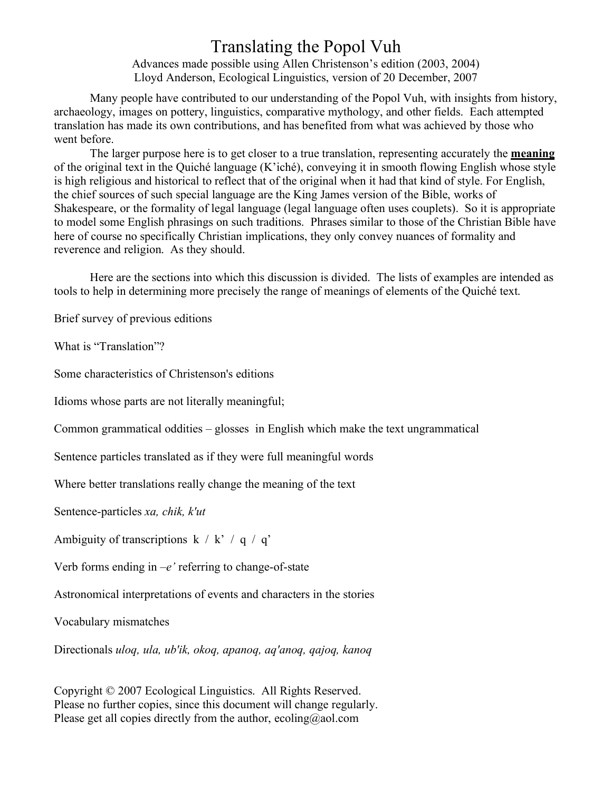### Translating the Popol Vuh

Advances made possible using Allen Christenson's edition (2003, 2004) Lloyd Anderson, Ecological Linguistics, version of 20 December, 2007

Many people have contributed to our understanding of the Popol Vuh, with insights from history, archaeology, images on pottery, linguistics, comparative mythology, and other fields. Each attempted translation has made its own contributions, and has benefited from what was achieved by those who went before.

The larger purpose here is to get closer to a true translation, representing accurately the **meaning** of the original text in the Quiché language (K'iché), conveying it in smooth flowing English whose style is high religious and historical to reflect that of the original when it had that kind of style. For English, the chief sources of such special language are the King James version of the Bible, works of Shakespeare, or the formality of legal language (legal language often uses couplets). So it is appropriate to model some English phrasings on such traditions. Phrases similar to those of the Christian Bible have here of course no specifically Christian implications, they only convey nuances of formality and reverence and religion. As they should.

Here are the sections into which this discussion is divided. The lists of examples are intended as tools to help in determining more precisely the range of meanings of elements of the Quiché text.

Brief survey of previous editions

What is "Translation"?

Some characteristics of Christenson's editions

Idioms whose parts are not literally meaningful;

Common grammatical oddities – glosses in English which make the text ungrammatical

Sentence particles translated as if they were full meaningful words

Where better translations really change the meaning of the text

Sentence-particles *xa, chik, k'ut*

Ambiguity of transcriptions  $k / k' / q / q'$ 

Verb forms ending in  $-e'$  referring to change-of-state

Astronomical interpretations of events and characters in the stories

Vocabulary mismatches

Directionals *uloq, ula, ub'ik, okoq, apanoq, aq'anoq, qajoq, kanoq*

Copyright © 2007 Ecological Linguistics. All Rights Reserved. Please no further copies, since this document will change regularly. Please get all copies directly from the author, ecoling@aol.com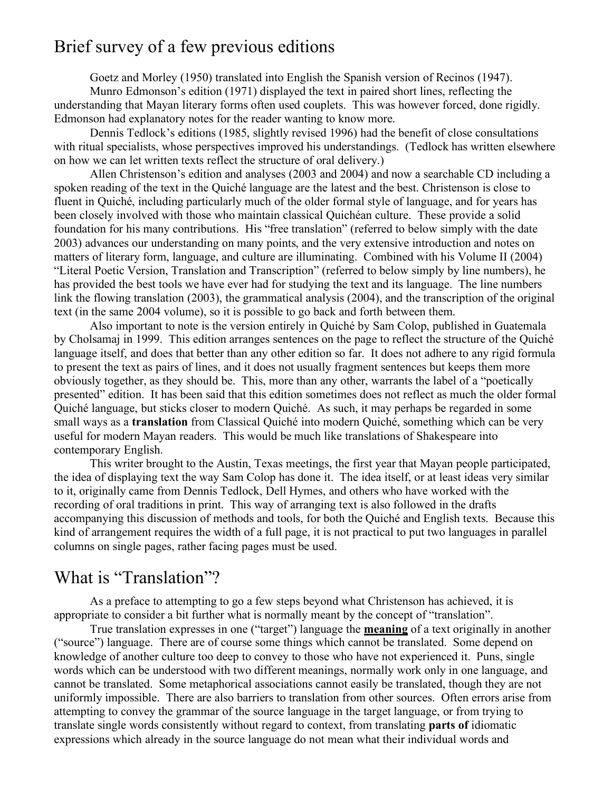### Brief survey of a few previous editions

Goetz and Morley (1950) translated into English the Spanish version of Recinos (1947). Munro Edmonson's edition (1971) displayed the text in paired short lines, reflecting the understanding that Mayan literary forms often used couplets. This was however forced, done rigidly. Edmonson had explanatory notes for the reader wanting to know more.

Dennis Tedlock's editions (1985, slightly revised 1996) had the benefit of close consultations with ritual specialists, whose perspectives improved his understandings. (Tedlock has written elsewhere on how we can let written texts reflect the structure of oral delivery.)

Allen Christenson's edition and analyses (2003 and 2004) and now a searchable CD including a spoken reading of the text in the Quiché language are the latest and the best. Christenson is close to fluent in Quiché, including particularly much of the older formal style of language, and for years has been closely involved with those who maintain classical Quichéan culture. These provide a solid foundation for his many contributions. His "free translation" (referred to below simply with the date 2003) advances our understanding on many points, and the very extensive introduction and notes on matters of literary form, language, and culture are illuminating. Combined with his Volume II (2004) "Literal Poetic Version, Translation and Transcription" (referred to below simply by line numbers), he has provided the best tools we have ever had for studying the text and its language. The line numbers link the flowing translation (2003), the grammatical analysis (2004), and the transcription of the original text (in the same 2004 volume), so it is possible to go back and forth between them.

Also important to note is the version entirely in Quiché by Sam Colop, published in Guatemala by Cholsamaj in 1999. This edition arranges sentences on the page to reflect the structure of the Quiché language itself, and does that better than any other edition so far. It does not adhere to any rigid formula to present the text as pairs of lines, and it does not usually fragment sentences but keeps them more obviously together, as they should be. This, more than any other, warrants the label of a "poetically presented" edition. It has been said that this edition sometimes does not reflect as much the older formal Quiché language, but sticks closer to modern Quiché. As such, it may perhaps be regarded in some small ways as a **translation** from Classical Quiché into modern Quiché, something which can be very useful for modern Mayan readers. This would be much like translations of Shakespeare into contemporary English.

This writer brought to the Austin, Texas meetings, the first year that Mayan people participated, the idea of displaying text the way Sam Colop has done it. The idea itself, or at least ideas very similar to it, originally came from Dennis Tedlock, Dell Hymes, and others who have worked with the recording of oral traditions in print. This way of arranging text is also followed in the drafts accompanying this discussion of methods and tools, for both the Quiché and English texts. Because this kind of arrangement requires the width of a full page, it is not practical to put two languages in parallel columns on single pages, rather facing pages must be used.

### What is "Translation"?

As a preface to attempting to go a few steps beyond what Christenson has achieved, it is appropriate to consider a bit further what is normally meant by the concept of "translation".

True translation expresses in one ("target") language the **meaning** of a text originally in another ("source") language. There are of course some things which cannot be translated. Some depend on knowledge of another culture too deep to convey to those who have not experienced it. Puns, single words which can be understood with two different meanings, normally work only in one language, and cannot be translated. Some metaphorical associations cannot easily be translated, though they are not uniformly impossible. There are also barriers to translation from other sources. Often errors arise from attempting to convey the grammar of the source language in the target language, or from trying to translate single words consistently without regard to context, from translating **parts of** idiomatic expressions which already in the source language do not mean what their individual words and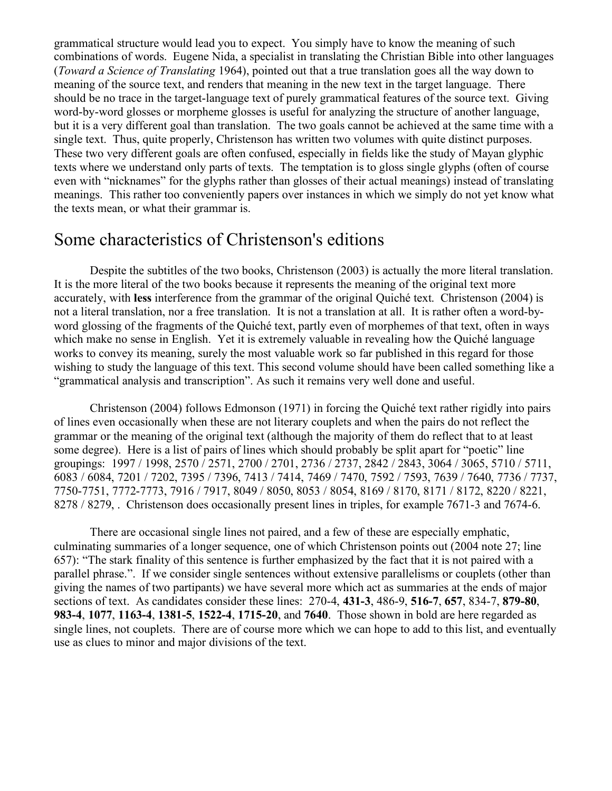grammatical structure would lead you to expect. You simply have to know the meaning of such combinations of words. Eugene Nida, a specialist in translating the Christian Bible into other languages (*Toward a Science of Translating* 1964), pointed out that a true translation goes all the way down to meaning of the source text, and renders that meaning in the new text in the target language. There should be no trace in the target-language text of purely grammatical features of the source text. Giving word-by-word glosses or morpheme glosses is useful for analyzing the structure of another language, but it is a very different goal than translation. The two goals cannot be achieved at the same time with a single text. Thus, quite properly, Christenson has written two volumes with quite distinct purposes. These two very different goals are often confused, especially in fields like the study of Mayan glyphic texts where we understand only parts of texts. The temptation is to gloss single glyphs (often of course even with "nicknames" for the glyphs rather than glosses of their actual meanings) instead of translating meanings. This rather too conveniently papers over instances in which we simply do not yet know what the texts mean, or what their grammar is.

# Some characteristics of Christenson's editions

Despite the subtitles of the two books, Christenson (2003) is actually the more literal translation. It is the more literal of the two books because it represents the meaning of the original text more accurately, with **less** interference from the grammar of the original Quiché text. Christenson (2004) is not a literal translation, nor a free translation. It is not a translation at all. It is rather often a word-byword glossing of the fragments of the Quiché text, partly even of morphemes of that text, often in ways which make no sense in English. Yet it is extremely valuable in revealing how the Quiché language works to convey its meaning, surely the most valuable work so far published in this regard for those wishing to study the language of this text. This second volume should have been called something like a "grammatical analysis and transcription". As such it remains very well done and useful.

Christenson (2004) follows Edmonson (1971) in forcing the Quiché text rather rigidly into pairs of lines even occasionally when these are not literary couplets and when the pairs do not reflect the grammar or the meaning of the original text (although the majority of them do reflect that to at least some degree). Here is a list of pairs of lines which should probably be split apart for "poetic" line groupings: 1997 / 1998, 2570 / 2571, 2700 / 2701, 2736 / 2737, 2842 / 2843, 3064 / 3065, 5710 / 5711, 6083 / 6084, 7201 / 7202, 7395 / 7396, 7413 / 7414, 7469 / 7470, 7592 / 7593, 7639 / 7640, 7736 / 7737, 7750-7751, 7772-7773, 7916 / 7917, 8049 / 8050, 8053 / 8054, 8169 / 8170, 8171 / 8172, 8220 / 8221, 8278 / 8279, . Christenson does occasionally present lines in triples, for example 7671-3 and 7674-6.

There are occasional single lines not paired, and a few of these are especially emphatic, culminating summaries of a longer sequence, one of which Christenson points out (2004 note 27; line 657): "The stark finality of this sentence is further emphasized by the fact that it is not paired with a parallel phrase.". If we consider single sentences without extensive parallelisms or couplets (other than giving the names of two partipants) we have several more which act as summaries at the ends of major sections of text. As candidates consider these lines: 270-4, **431-3**, 486-9, **516-7**, **657**, 834-7, **879-80**, **983-4**, **1077**, **1163-4**, **1381-5**, **1522-4**, **1715-20**, and **7640**. Those shown in bold are here regarded as single lines, not couplets. There are of course more which we can hope to add to this list, and eventually use as clues to minor and major divisions of the text.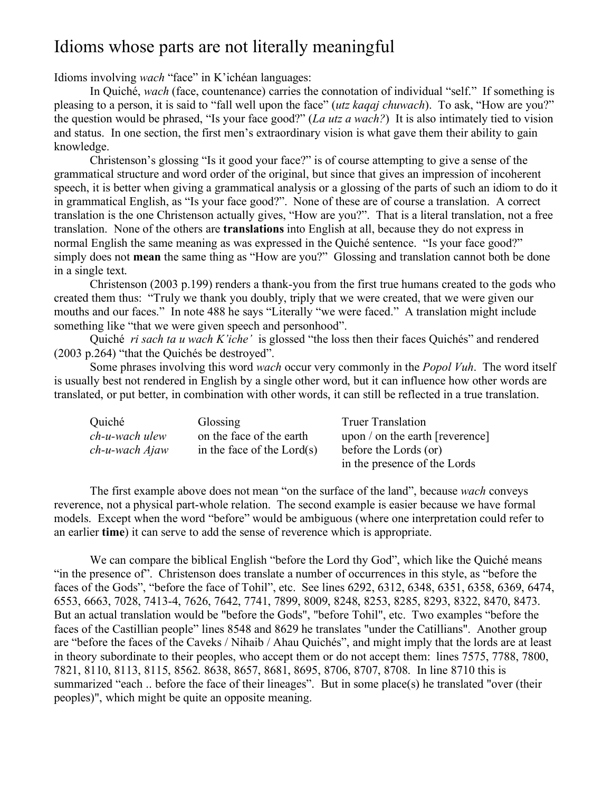## Idioms whose parts are not literally meaningful

Idioms involving *wach* "face" in K'ichéan languages:

In Quiché, *wach* (face, countenance) carries the connotation of individual "self." If something is pleasing to a person, it is said to "fall well upon the face" (*utz kaqaj chuwach*). To ask, "How are you?" the question would be phrased, "Is your face good?" (*La utz a wach?*) It is also intimately tied to vision and status. In one section, the first men's extraordinary vision is what gave them their ability to gain knowledge.

Christenson's glossing "Is it good your face?" is of course attempting to give a sense of the grammatical structure and word order of the original, but since that gives an impression of incoherent speech, it is better when giving a grammatical analysis or a glossing of the parts of such an idiom to do it in grammatical English, as "Is your face good?". None of these are of course a translation. A correct translation is the one Christenson actually gives, "How are you?". That is a literal translation, not a free translation. None of the others are **translations** into English at all, because they do not express in normal English the same meaning as was expressed in the Quiché sentence. "Is your face good?" simply does not **mean** the same thing as "How are you?" Glossing and translation cannot both be done in a single text.

Christenson (2003 p.199) renders a thank-you from the first true humans created to the gods who created them thus: "Truly we thank you doubly, triply that we were created, that we were given our mouths and our faces." In note 488 he says "Literally "we were faced." A translation might include something like "that we were given speech and personhood".

Quiché *ri sach ta u wach K'iche'* is glossed "the loss then their faces Quichés" and rendered (2003 p.264) "that the Quichés be destroyed".

Some phrases involving this word *wach* occur very commonly in the *Popol Vuh*. The word itself is usually best not rendered in English by a single other word, but it can influence how other words are translated, or put better, in combination with other words, it can still be reflected in a true translation.

| Quiché            | Glossing                     | <b>Truer Translation</b>        |
|-------------------|------------------------------|---------------------------------|
| $ch$ -u-wach ulew | on the face of the earth     | upon / on the earth [reverence] |
| ch-u-wach Ajaw    | in the face of the $Lord(s)$ | before the Lords (or)           |
|                   |                              | in the presence of the Lords    |

The first example above does not mean "on the surface of the land", because *wach* conveys reverence, not a physical part-whole relation. The second example is easier because we have formal models. Except when the word "before" would be ambiguous (where one interpretation could refer to an earlier **time**) it can serve to add the sense of reverence which is appropriate.

We can compare the biblical English "before the Lord thy God", which like the Quiché means "in the presence of". Christenson does translate a number of occurrences in this style, as "before the faces of the Gods", "before the face of Tohil", etc. See lines 6292, 6312, 6348, 6351, 6358, 6369, 6474, 6553, 6663, 7028, 7413-4, 7626, 7642, 7741, 7899, 8009, 8248, 8253, 8285, 8293, 8322, 8470, 8473. But an actual translation would be "before the Gods", "before Tohil", etc. Two examples "before the faces of the Castillian people" lines 8548 and 8629 he translates "under the Catillians". Another group are "before the faces of the Caveks / Nihaib / Ahau Quichés", and might imply that the lords are at least in theory subordinate to their peoples, who accept them or do not accept them: lines 7575, 7788, 7800, 7821, 8110, 8113, 8115, 8562. 8638, 8657, 8681, 8695, 8706, 8707, 8708. In line 8710 this is summarized "each .. before the face of their lineages". But in some place(s) he translated "over (their peoples)", which might be quite an opposite meaning.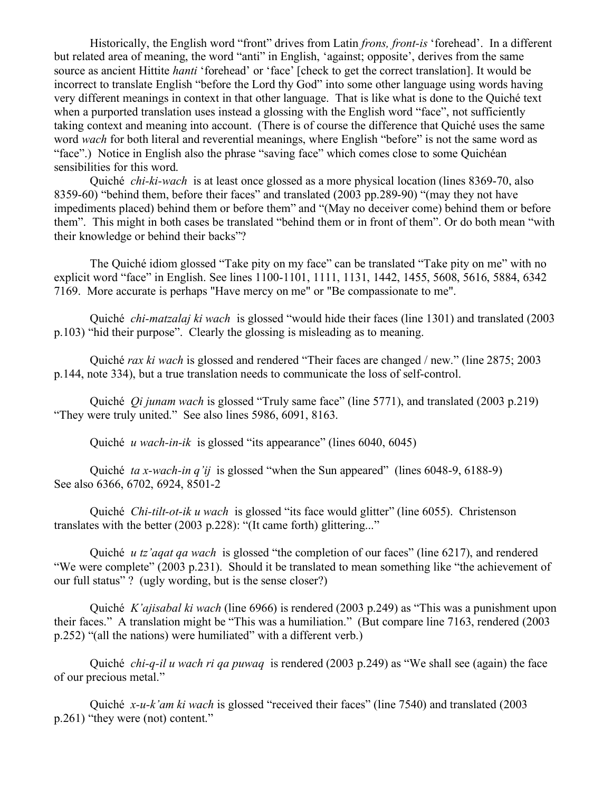Historically, the English word "front" drives from Latin *frons, front-is* 'forehead'. In a different but related area of meaning, the word "anti" in English, 'against; opposite', derives from the same source as ancient Hittite *hanti* 'forehead' or 'face' [check to get the correct translation]. It would be incorrect to translate English "before the Lord thy God" into some other language using words having very different meanings in context in that other language. That is like what is done to the Quiché text when a purported translation uses instead a glossing with the English word "face", not sufficiently taking context and meaning into account. (There is of course the difference that Quiché uses the same word *wach* for both literal and reverential meanings, where English "before" is not the same word as "face".) Notice in English also the phrase "saving face" which comes close to some Quichéan sensibilities for this word.

Quiché *chi-ki-wach* is at least once glossed as a more physical location (lines 8369-70, also 8359-60) "behind them, before their faces" and translated (2003 pp.289-90) "(may they not have impediments placed) behind them or before them" and "(May no deceiver come) behind them or before them". This might in both cases be translated "behind them or in front of them". Or do both mean "with their knowledge or behind their backs"?

The Quiché idiom glossed "Take pity on my face" can be translated "Take pity on me" with no explicit word "face" in English. See lines 1100-1101, 1111, 1131, 1442, 1455, 5608, 5616, 5884, 6342 7169. More accurate is perhaps "Have mercy on me" or "Be compassionate to me".

Quiché *chi-matzalaj ki wach* is glossed "would hide their faces (line 1301) and translated (2003 p.103) "hid their purpose". Clearly the glossing is misleading as to meaning.

Quiché *rax ki wach* is glossed and rendered "Their faces are changed / new." (line 2875; 2003 p.144, note 334), but a true translation needs to communicate the loss of self-control.

Quiché *Qi junam wach* is glossed "Truly same face" (line 5771), and translated (2003 p.219) "They were truly united." See also lines 5986, 6091, 8163.

Quiché *u wach-in-ik* is glossed "its appearance" (lines 6040, 6045)

Quiché *ta x-wach-in q'ij* is glossed "when the Sun appeared" (lines 6048-9, 6188-9) See also 6366, 6702, 6924, 8501-2

Quiché *Chi-tilt-ot-ik u wach* is glossed "its face would glitter" (line 6055). Christenson translates with the better (2003 p.228): "(It came forth) glittering..."

Quiché *u tz'aqat qa wach* is glossed "the completion of our faces" (line 6217), and rendered "We were complete" (2003 p.231). Should it be translated to mean something like "the achievement of our full status" ? (ugly wording, but is the sense closer?)

Quiché *K'ajisabal ki wach* (line 6966) is rendered (2003 p.249) as "This was a punishment upon their faces." A translation might be "This was a humiliation." (But compare line 7163, rendered (2003 p.252) "(all the nations) were humiliated" with a different verb.)

Quiché *chi-q-il u wach ri qa puwaq* is rendered (2003 p.249) as "We shall see (again) the face of our precious metal."

Quiché *x-u-k'am ki wach* is glossed "received their faces" (line 7540) and translated (2003 p.261) "they were (not) content."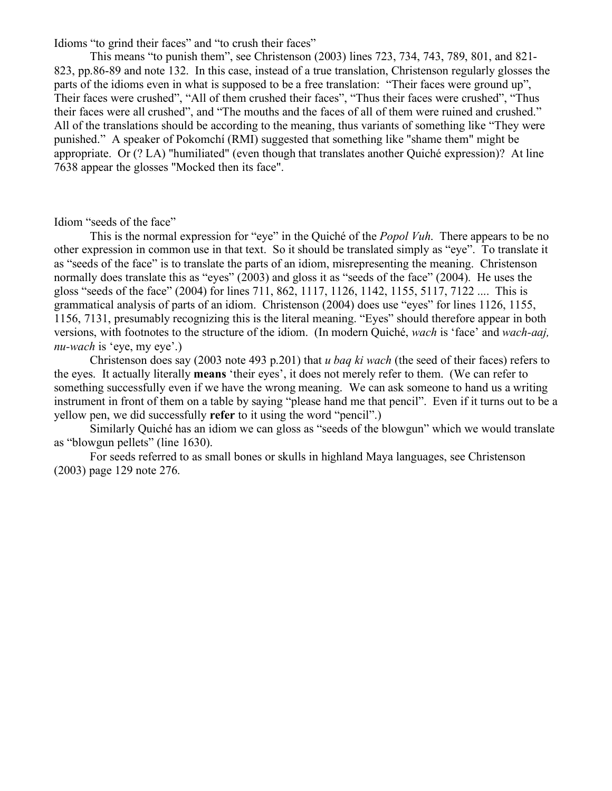Idioms "to grind their faces" and "to crush their faces"

This means "to punish them", see Christenson (2003) lines 723, 734, 743, 789, 801, and 821- 823, pp.86-89 and note 132. In this case, instead of a true translation, Christenson regularly glosses the parts of the idioms even in what is supposed to be a free translation: "Their faces were ground up", Their faces were crushed", "All of them crushed their faces", "Thus their faces were crushed", "Thus their faces were all crushed", and "The mouths and the faces of all of them were ruined and crushed." All of the translations should be according to the meaning, thus variants of something like "They were punished." A speaker of Pokomchí (RMI) suggested that something like "shame them" might be appropriate. Or (? LA) "humiliated" (even though that translates another Quiché expression)? At line 7638 appear the glosses "Mocked then its face".

Idiom "seeds of the face"

This is the normal expression for "eye" in the Quiché of the *Popol Vuh*. There appears to be no other expression in common use in that text. So it should be translated simply as "eye". To translate it as "seeds of the face" is to translate the parts of an idiom, misrepresenting the meaning. Christenson normally does translate this as "eyes" (2003) and gloss it as "seeds of the face" (2004). He uses the gloss "seeds of the face" (2004) for lines 711, 862, 1117, 1126, 1142, 1155, 5117, 7122 .... This is grammatical analysis of parts of an idiom. Christenson (2004) does use "eyes" for lines 1126, 1155, 1156, 7131, presumably recognizing this is the literal meaning. "Eyes" should therefore appear in both versions, with footnotes to the structure of the idiom. (In modern Quiché, *wach* is 'face' and *wach-aaj, nu-wach* is 'eye, my eye'.)

Christenson does say (2003 note 493 p.201) that *u baq ki wach* (the seed of their faces) refers to the eyes. It actually literally **means** 'their eyes', it does not merely refer to them. (We can refer to something successfully even if we have the wrong meaning. We can ask someone to hand us a writing instrument in front of them on a table by saying "please hand me that pencil". Even if it turns out to be a yellow pen, we did successfully **refer** to it using the word "pencil".)

Similarly Quiché has an idiom we can gloss as "seeds of the blowgun" which we would translate as "blowgun pellets" (line 1630).

For seeds referred to as small bones or skulls in highland Maya languages, see Christenson (2003) page 129 note 276.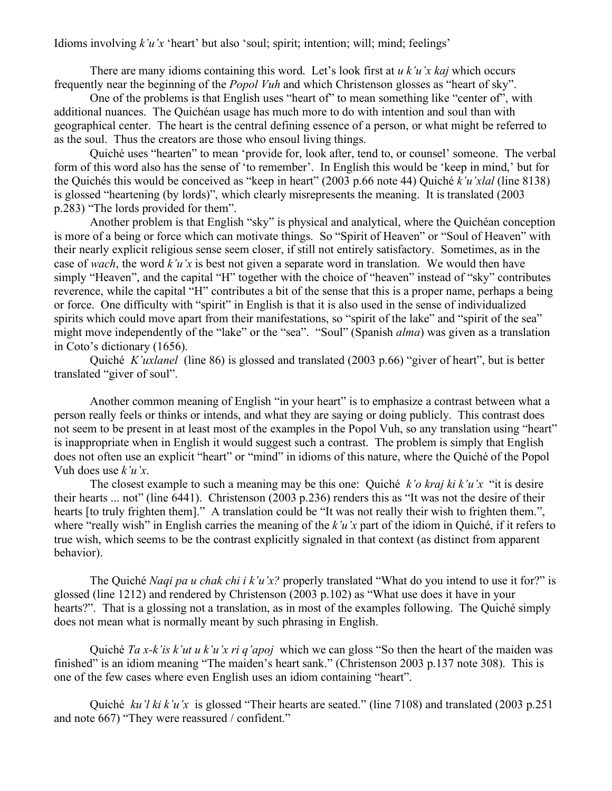Idioms involving *k'u'x* 'heart' but also 'soul; spirit; intention; will; mind; feelings'

There are many idioms containing this word. Let's look first at *u k'u'x kaj* which occurs frequently near the beginning of the *Popol Vuh* and which Christenson glosses as "heart of sky".

One of the problems is that English uses "heart of" to mean something like "center of", with additional nuances. The Quichéan usage has much more to do with intention and soul than with geographical center. The heart is the central defining essence of a person, or what might be referred to as the soul. Thus the creators are those who ensoul living things.

Quiché uses "hearten" to mean 'provide for, look after, tend to, or counsel' someone. The verbal form of this word also has the sense of 'to remember'. In English this would be 'keep in mind,' but for the Quichés this would be conceived as "keep in heart" (2003 p.66 note 44) Quiché *k'u'xlal* (line 8138) is glossed "heartening (by lords)", which clearly misrepresents the meaning. It is translated (2003 p.283) "The lords provided for them".

Another problem is that English "sky" is physical and analytical, where the Quichéan conception is more of a being or force which can motivate things. So "Spirit of Heaven" or "Soul of Heaven" with their nearly explicit religious sense seem closer, if still not entirely satisfactory. Sometimes, as in the case of *wach*, the word *k'u'x* is best not given a separate word in translation. We would then have simply "Heaven", and the capital "H" together with the choice of "heaven" instead of "sky" contributes reverence, while the capital "H" contributes a bit of the sense that this is a proper name, perhaps a being or force. One difficulty with "spirit" in English is that it is also used in the sense of individualized spirits which could move apart from their manifestations, so "spirit of the lake" and "spirit of the sea" might move independently of the "lake" or the "sea". "Soul" (Spanish *alma*) was given as a translation in Coto's dictionary (1656).

Quiché *K'uxlanel* (line 86) is glossed and translated (2003 p.66) "giver of heart", but is better translated "giver of soul".

Another common meaning of English "in your heart" is to emphasize a contrast between what a person really feels or thinks or intends, and what they are saying or doing publicly. This contrast does not seem to be present in at least most of the examples in the Popol Vuh, so any translation using "heart" is inappropriate when in English it would suggest such a contrast. The problem is simply that English does not often use an explicit "heart" or "mind" in idioms of this nature, where the Quiché of the Popol Vuh does use *k'u'x*.

The closest example to such a meaning may be this one: Quiché *k'o kraj ki k'u'x* "it is desire their hearts ... not" (line 6441). Christenson (2003 p.236) renders this as "It was not the desire of their hearts [to truly frighten them]." A translation could be "It was not really their wish to frighten them.", where "really wish" in English carries the meaning of the *k'u'x* part of the idiom in Quiché, if it refers to true wish, which seems to be the contrast explicitly signaled in that context (as distinct from apparent behavior).

The Quiché *Naqi pa u chak chi i k'u'x?* properly translated "What do you intend to use it for?" is glossed (line 1212) and rendered by Christenson (2003 p.102) as "What use does it have in your hearts?". That is a glossing not a translation, as in most of the examples following. The Quiché simply does not mean what is normally meant by such phrasing in English.

Quiché *Ta x-k'is k'ut u k'u'x ri q'apoj* which we can gloss "So then the heart of the maiden was finished" is an idiom meaning "The maiden's heart sank." (Christenson 2003 p.137 note 308). This is one of the few cases where even English uses an idiom containing "heart".

Quiché *ku'l ki k'u'x* is glossed "Their hearts are seated." (line 7108) and translated (2003 p.251 and note 667) "They were reassured / confident."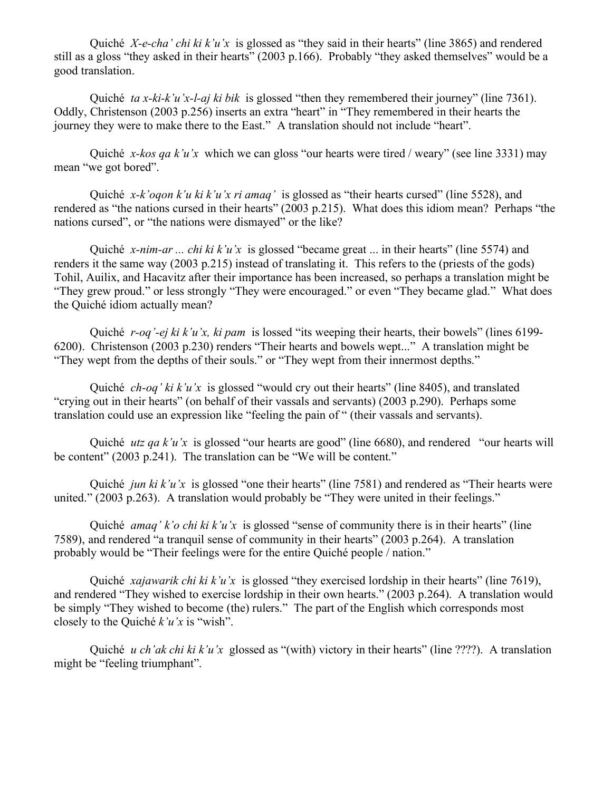Quiché *X-e-cha' chi ki k'u'x* is glossed as "they said in their hearts" (line 3865) and rendered still as a gloss "they asked in their hearts" (2003 p.166). Probably "they asked themselves" would be a good translation.

Quiché *ta x-ki-k'u'x-l-aj ki bik* is glossed "then they remembered their journey" (line 7361). Oddly, Christenson (2003 p.256) inserts an extra "heart" in "They remembered in their hearts the journey they were to make there to the East." A translation should not include "heart".

Quiché *x-kos qa k'u'x* which we can gloss "our hearts were tired / weary" (see line 3331) may mean "we got bored".

Quiché *x-k'oqon k'u ki k'u'x ri amaq'* is glossed as "their hearts cursed" (line 5528), and rendered as "the nations cursed in their hearts" (2003 p.215). What does this idiom mean? Perhaps "the nations cursed", or "the nations were dismayed" or the like?

Quiché *x-nim-ar ... chi ki k'u'x* is glossed "became great ... in their hearts" (line 5574) and renders it the same way (2003 p.215) instead of translating it. This refers to the (priests of the gods) Tohil, Auilix, and Hacavitz after their importance has been increased, so perhaps a translation might be "They grew proud." or less strongly "They were encouraged." or even "They became glad." What does the Quiché idiom actually mean?

Quiché *r-oq'-ej ki k'u'x, ki pam* is lossed "its weeping their hearts, their bowels" (lines 6199- 6200). Christenson (2003 p.230) renders "Their hearts and bowels wept..." A translation might be "They wept from the depths of their souls." or "They wept from their innermost depths."

Quiché *ch-oq' ki k'u'x* is glossed "would cry out their hearts" (line 8405), and translated "crying out in their hearts" (on behalf of their vassals and servants) (2003 p.290). Perhaps some translation could use an expression like "feeling the pain of " (their vassals and servants).

Quiché *utz qa k'u'x* is glossed "our hearts are good" (line 6680), and rendered "our hearts will be content" (2003 p.241). The translation can be "We will be content."

Quiché *jun ki k'u'x* is glossed "one their hearts" (line 7581) and rendered as "Their hearts were united." (2003 p.263). A translation would probably be "They were united in their feelings."

Quiché *amaq' k'o chi ki k'u'x* is glossed "sense of community there is in their hearts" (line 7589), and rendered "a tranquil sense of community in their hearts" (2003 p.264). A translation probably would be "Their feelings were for the entire Quiché people / nation."

Quiché *xajawarik chi ki k'u'x* is glossed "they exercised lordship in their hearts" (line 7619), and rendered "They wished to exercise lordship in their own hearts." (2003 p.264). A translation would be simply "They wished to become (the) rulers." The part of the English which corresponds most closely to the Quiché *k'u'x* is "wish".

Quiché *u ch'ak chi ki k'u'x* glossed as "(with) victory in their hearts" (line ????). A translation might be "feeling triumphant".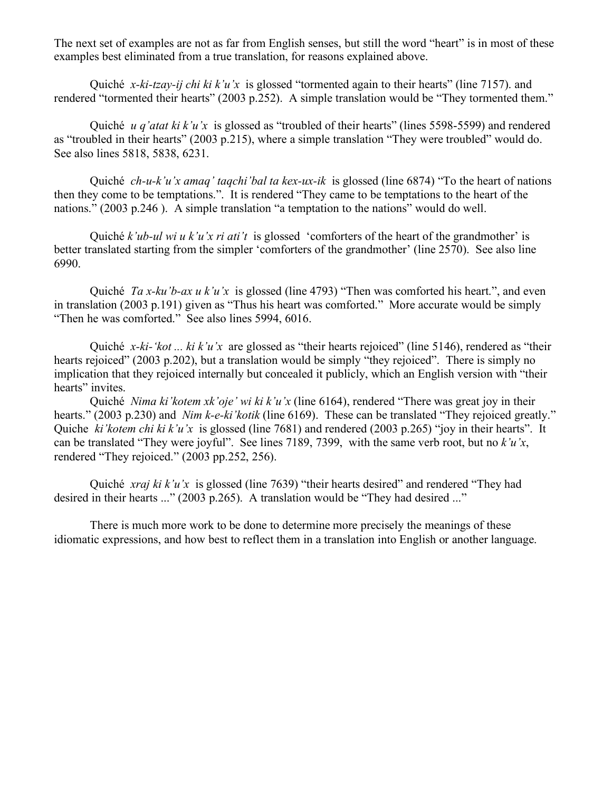The next set of examples are not as far from English senses, but still the word "heart" is in most of these examples best eliminated from a true translation, for reasons explained above.

Quiché *x-ki-tzay-ij chi ki k'u'x* is glossed "tormented again to their hearts" (line 7157). and rendered "tormented their hearts" (2003 p.252). A simple translation would be "They tormented them."

Quiché *u q'atat ki k'u'x* is glossed as "troubled of their hearts" (lines 5598-5599) and rendered as "troubled in their hearts" (2003 p.215), where a simple translation "They were troubled" would do. See also lines 5818, 5838, 6231.

Quiché *ch-u-k'u'x amaq' taqchi'bal ta kex-ux-ik* is glossed (line 6874) "To the heart of nations then they come to be temptations.". It is rendered "They came to be temptations to the heart of the nations." (2003 p.246 ). A simple translation "a temptation to the nations" would do well.

Quiché *k'ub-ul wi u k'u'x ri ati't* is glossed 'comforters of the heart of the grandmother' is better translated starting from the simpler 'comforters of the grandmother' (line 2570). See also line 6990.

Quiché *Ta x-ku'b-ax u k'u'x* is glossed (line 4793) "Then was comforted his heart.", and even in translation (2003 p.191) given as "Thus his heart was comforted." More accurate would be simply "Then he was comforted." See also lines 5994, 6016.

Quiché *x-ki-'kot ... ki k'u'x* are glossed as "their hearts rejoiced" (line 5146), rendered as "their hearts rejoiced" (2003 p.202), but a translation would be simply "they rejoiced". There is simply no implication that they rejoiced internally but concealed it publicly, which an English version with "their hearts" invites.

Quiché *Nima ki'kotem xk'oje' wi ki k'u'x* (line 6164), rendered "There was great joy in their hearts." (2003 p.230) and *Nim k-e-ki'kotik* (line 6169). These can be translated "They rejoiced greatly." Quiche *ki'kotem chi ki k'u'x* is glossed (line 7681) and rendered (2003 p.265) "joy in their hearts". It can be translated "They were joyful". See lines 7189, 7399, with the same verb root, but no *k'u'x*, rendered "They rejoiced." (2003 pp.252, 256).

Quiché *xraj ki k'u'x* is glossed (line 7639) "their hearts desired" and rendered "They had desired in their hearts ..." (2003 p.265). A translation would be "They had desired ..."

There is much more work to be done to determine more precisely the meanings of these idiomatic expressions, and how best to reflect them in a translation into English or another language.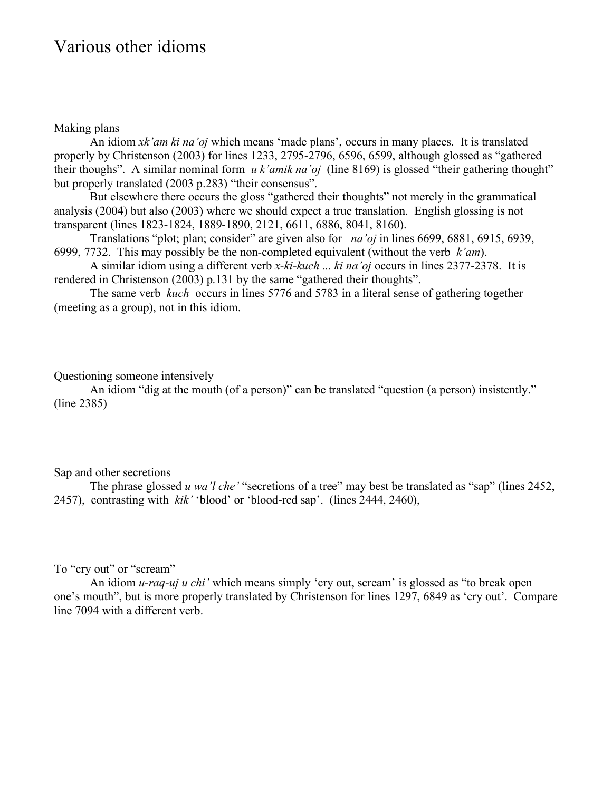### Various other idioms

#### Making plans

An idiom *xk'am ki na'oj* which means 'made plans', occurs in many places. It is translated properly by Christenson (2003) for lines 1233, 2795-2796, 6596, 6599, although glossed as "gathered their thoughs". A similar nominal form *u k'amik na'oj* (line 8169) is glossed "their gathering thought" but properly translated (2003 p.283) "their consensus".

But elsewhere there occurs the gloss "gathered their thoughts" not merely in the grammatical analysis (2004) but also (2003) where we should expect a true translation. English glossing is not transparent (lines 1823-1824, 1889-1890, 2121, 6611, 6886, 8041, 8160).

Translations "plot; plan; consider" are given also for *–na'oj* in lines 6699, 6881, 6915, 6939, 6999, 7732. This may possibly be the non-completed equivalent (without the verb *k'am*).

A similar idiom using a different verb *x-ki-kuch ... ki na'oj* occurs in lines 2377-2378. It is rendered in Christenson (2003) p.131 by the same "gathered their thoughts".

The same verb *kuch* occurs in lines 5776 and 5783 in a literal sense of gathering together (meeting as a group), not in this idiom.

#### Questioning someone intensively

An idiom "dig at the mouth (of a person)" can be translated "question (a person) insistently." (line 2385)

#### Sap and other secretions

The phrase glossed *u wa'l che'* "secretions of a tree" may best be translated as "sap" (lines 2452, 2457), contrasting with *kik'* 'blood' or 'blood-red sap'. (lines 2444, 2460),

To "cry out" or "scream"

An idiom *u-raq-uj u chi'* which means simply 'cry out, scream' is glossed as "to break open one's mouth", but is more properly translated by Christenson for lines 1297, 6849 as 'cry out'. Compare line 7094 with a different verb.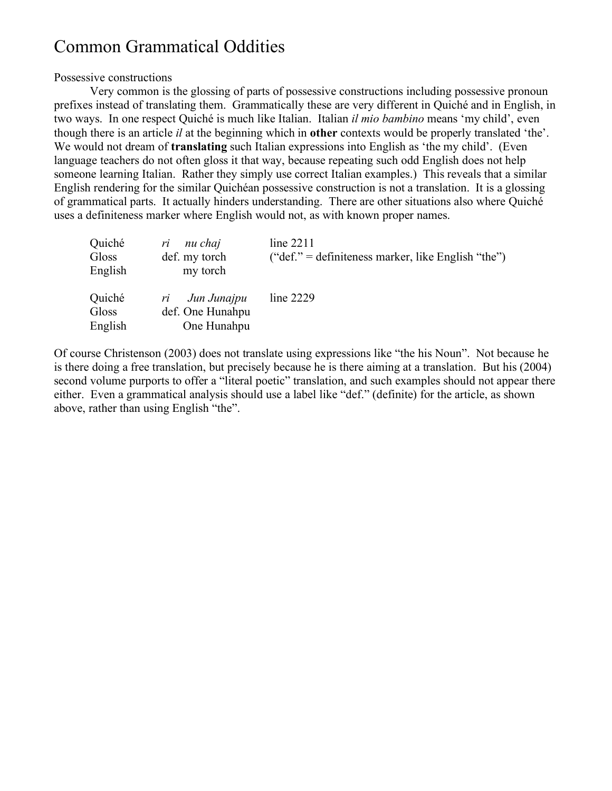# Common Grammatical Oddities

#### Possessive constructions

Very common is the glossing of parts of possessive constructions including possessive pronoun prefixes instead of translating them. Grammatically these are very different in Quiché and in English, in two ways. In one respect Quiché is much like Italian. Italian *il mio bambino* means 'my child', even though there is an article *il* at the beginning which in **other** contexts would be properly translated 'the'. We would not dream of **translating** such Italian expressions into English as 'the my child'. (Even language teachers do not often gloss it that way, because repeating such odd English does not help someone learning Italian. Rather they simply use correct Italian examples.) This reveals that a similar English rendering for the similar Quichéan possessive construction is not a translation. It is a glossing of grammatical parts. It actually hinders understanding. There are other situations also where Quiché uses a definiteness marker where English would not, as with known proper names.

| Quiché<br>Gloss<br>English | nu chaj<br>ri<br>def. my torch<br>my torch           | line $2211$<br>("def." = definiteness marker, like English "the") |
|----------------------------|------------------------------------------------------|-------------------------------------------------------------------|
| Quiché<br>Gloss<br>English | Jun Junajpu<br>ri<br>def. One Hunahpu<br>One Hunahpu | line 2229                                                         |

Of course Christenson (2003) does not translate using expressions like "the his Noun". Not because he is there doing a free translation, but precisely because he is there aiming at a translation. But his (2004) second volume purports to offer a "literal poetic" translation, and such examples should not appear there either. Even a grammatical analysis should use a label like "def." (definite) for the article, as shown above, rather than using English "the".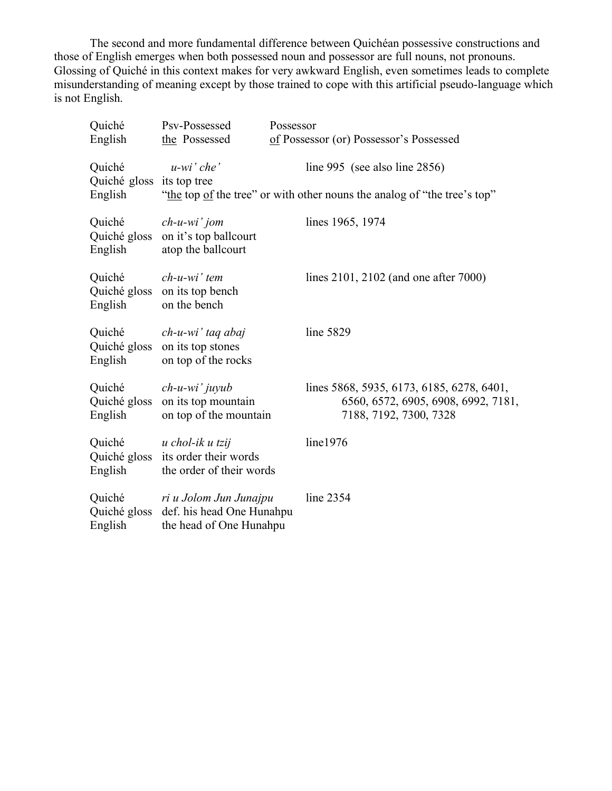The second and more fundamental difference between Quichéan possessive constructions and those of English emerges when both possessed noun and possessor are full nouns, not pronouns. Glossing of Quiché in this context makes for very awkward English, even sometimes leads to complete misunderstanding of meaning except by those trained to cope with this artificial pseudo-language which is not English.

| Quiché<br>English                    | Psv-Possessed<br>the Possessed                                                 | Possessor<br>of Possessor (or) Possessor's Possessed                                                       |
|--------------------------------------|--------------------------------------------------------------------------------|------------------------------------------------------------------------------------------------------------|
|                                      |                                                                                |                                                                                                            |
| Quiché                               | $u-wi'$ che'                                                                   | line 995 (see also line $2856$ )                                                                           |
| Quiché gloss its top tree<br>English |                                                                                | "the top of the tree" or with other nouns the analog of "the tree's top"                                   |
| Quiché<br>Quiché gloss<br>English    | $ch$ -u-wi' jom<br>on it's top ballcourt<br>atop the ballcourt                 | lines 1965, 1974                                                                                           |
| Quiché<br>Quiché gloss<br>English    | $ch$ -u-wi'tem<br>on its top bench<br>on the bench                             | lines 2101, 2102 (and one after 7000)                                                                      |
| Quiché<br>Quiché gloss<br>English    | ch-u-wi' taq abaj<br>on its top stones<br>on top of the rocks                  | line 5829                                                                                                  |
| Quiché<br>Quiché gloss<br>English    | $ch$ -u-wi' juyub<br>on its top mountain<br>on top of the mountain             | lines 5868, 5935, 6173, 6185, 6278, 6401,<br>6560, 6572, 6905, 6908, 6992, 7181,<br>7188, 7192, 7300, 7328 |
| Quiché<br>Quiché gloss<br>English    | u chol-ik u tzij<br>its order their words<br>the order of their words          | line1976                                                                                                   |
| Quiché<br>Quiché gloss<br>English    | ri u Jolom Jun Junajpu<br>def. his head One Hunahpu<br>the head of One Hunahpu | line 2354                                                                                                  |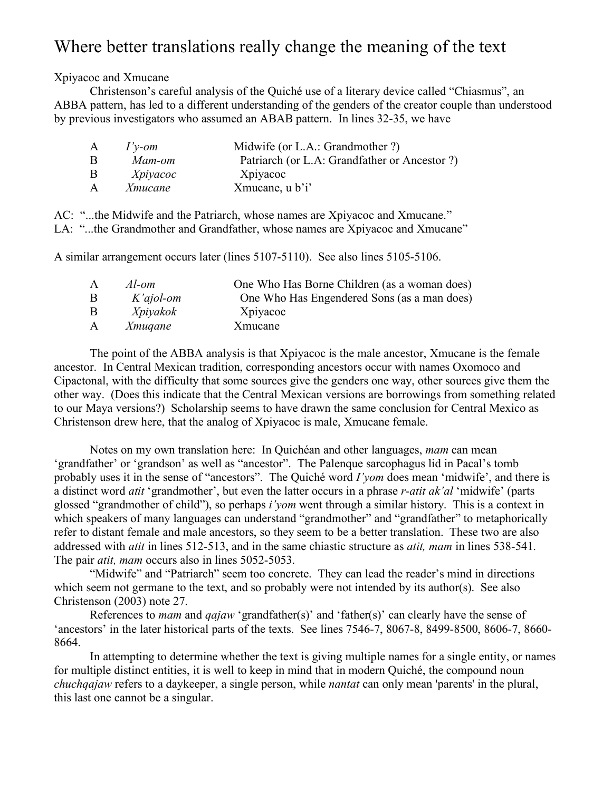## Where better translations really change the meaning of the text

Xpiyacoc and Xmucane

Christenson's careful analysis of the Quiché use of a literary device called "Chiasmus", an ABBA pattern, has led to a different understanding of the genders of the creator couple than understood by previous investigators who assumed an ABAB pattern. In lines 32-35, we have

| $I'v$ -om      | Midwife (or L.A.: Grandmother ?)              |
|----------------|-----------------------------------------------|
| Mam-om         | Patriarch (or L.A: Grandfather or Ancestor ?) |
| Xpiyacoc       | Xpiyacoc                                      |
| <i>Xmucane</i> | Xmucane, u b'i'                               |
|                |                                               |

AC: "...the Midwife and the Patriarch, whose names are Xpiyacoc and Xmucane." LA: "...the Grandmother and Grandfather, whose names are Xpiyacoc and Xmucane"

A similar arrangement occurs later (lines 5107-5110). See also lines 5105-5106.

| Al-om          | One Who Has Borne Children (as a woman does) |
|----------------|----------------------------------------------|
| $K'ajol$ -om   | One Who Has Engendered Sons (as a man does)  |
| Xpiyakok       | Xpiyacoc                                     |
| <i>Xmuqane</i> | Xmucane                                      |
|                |                                              |

The point of the ABBA analysis is that Xpiyacoc is the male ancestor, Xmucane is the female ancestor. In Central Mexican tradition, corresponding ancestors occur with names Oxomoco and Cipactonal, with the difficulty that some sources give the genders one way, other sources give them the other way. (Does this indicate that the Central Mexican versions are borrowings from something related to our Maya versions?) Scholarship seems to have drawn the same conclusion for Central Mexico as Christenson drew here, that the analog of Xpiyacoc is male, Xmucane female.

Notes on my own translation here: In Quichéan and other languages, *mam* can mean 'grandfather' or 'grandson' as well as "ancestor". The Palenque sarcophagus lid in Pacal's tomb probably uses it in the sense of "ancestors". The Quiché word *I'yom* does mean 'midwife', and there is a distinct word *atit* 'grandmother', but even the latter occurs in a phrase *r-atit ak'al* 'midwife' (parts glossed "grandmother of child"), so perhaps *i'yom* went through a similar history. This is a context in which speakers of many languages can understand "grandmother" and "grandfather" to metaphorically refer to distant female and male ancestors, so they seem to be a better translation. These two are also addressed with *atit* in lines 512-513, and in the same chiastic structure as *atit, mam* in lines 538-541. The pair *atit, mam* occurs also in lines 5052-5053.

"Midwife" and "Patriarch" seem too concrete. They can lead the reader's mind in directions which seem not germane to the text, and so probably were not intended by its author(s). See also Christenson (2003) note 27.

References to *mam* and *qajaw* 'grandfather(s)' and 'father(s)' can clearly have the sense of 'ancestors' in the later historical parts of the texts. See lines 7546-7, 8067-8, 8499-8500, 8606-7, 8660- 8664.

In attempting to determine whether the text is giving multiple names for a single entity, or names for multiple distinct entities, it is well to keep in mind that in modern Quiché, the compound noun *chuchqajaw* refers to a daykeeper, a single person, while *nantat* can only mean 'parents' in the plural, this last one cannot be a singular.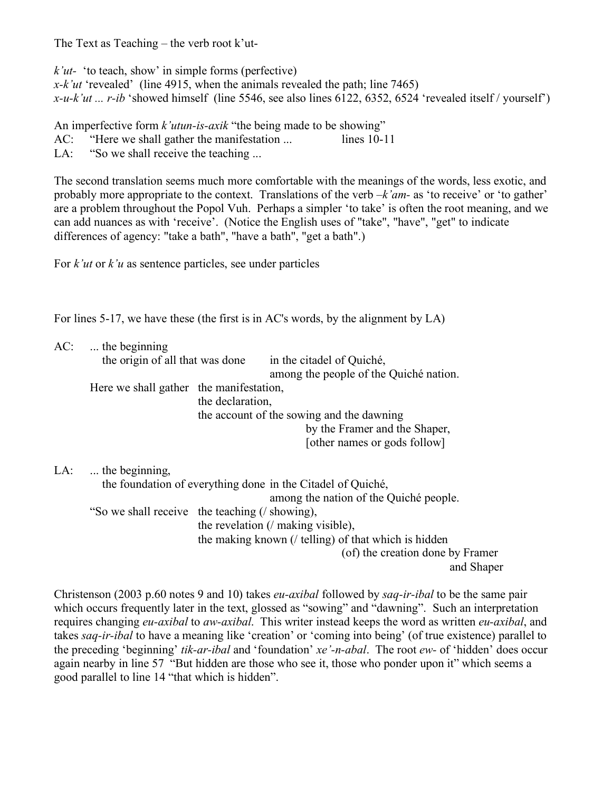The Text as Teaching – the verb root k'ut-

*k'ut-* 'to teach, show' in simple forms (perfective) *x-k'ut* 'revealed' (line 4915, when the animals revealed the path; line 7465) *x-u-k'ut ... r-ib* 'showed himself (line 5546, see also lines 6122, 6352, 6524 'revealed itself / yourself')

An imperfective form *k'utun-is-axik* "the being made to be showing"

AC: "Here we shall gather the manifestation ... lines 10-11

LA: "So we shall receive the teaching ...

The second translation seems much more comfortable with the meanings of the words, less exotic, and probably more appropriate to the context. Translations of the verb *–k'am-* as 'to receive' or 'to gather' are a problem throughout the Popol Vuh. Perhaps a simpler 'to take' is often the root meaning, and we can add nuances as with 'receive'. (Notice the English uses of "take", "have", "get" to indicate differences of agency: "take a bath", "have a bath", "get a bath".)

For *k'ut* or *k'u* as sentence particles, see under particles

For lines 5-17, we have these (the first is in AC's words, by the alignment by LA)

|     | $AC:$ the beginning<br>the origin of all that was done |                  | in the citadel of Quiché,<br>among the people of the Quiché nation. |            |
|-----|--------------------------------------------------------|------------------|---------------------------------------------------------------------|------------|
|     | Here we shall gather the manifestation,                | the declaration, |                                                                     |            |
|     |                                                        |                  | the account of the sowing and the dawning                           |            |
|     |                                                        |                  | by the Framer and the Shaper,                                       |            |
|     |                                                        |                  | [other names or gods follow]                                        |            |
| LA: | the beginning,                                         |                  |                                                                     |            |
|     |                                                        |                  | the foundation of everything done in the Citadel of Quiché,         |            |
|     |                                                        |                  | among the nation of the Quiché people.                              |            |
|     | "So we shall receive the teaching (/ showing),         |                  |                                                                     |            |
|     |                                                        |                  | the revelation (/ making visible),                                  |            |
|     |                                                        |                  | the making known $\ell$ telling) of that which is hidden            |            |
|     |                                                        |                  | (of) the creation done by Framer                                    |            |
|     |                                                        |                  |                                                                     | and Shaper |

Christenson (2003 p.60 notes 9 and 10) takes *eu-axibal* followed by *saq-ir-ibal* to be the same pair which occurs frequently later in the text, glossed as "sowing" and "dawning". Such an interpretation requires changing *eu-axibal* to *aw-axibal*. This writer instead keeps the word as written *eu-axibal*, and takes *saq-ir-ibal* to have a meaning like 'creation' or 'coming into being' (of true existence) parallel to the preceding 'beginning' *tik-ar-ibal* and 'foundation' *xe'-n-abal*. The root *ew-* of 'hidden' does occur again nearby in line 57 "But hidden are those who see it, those who ponder upon it" which seems a good parallel to line 14 "that which is hidden".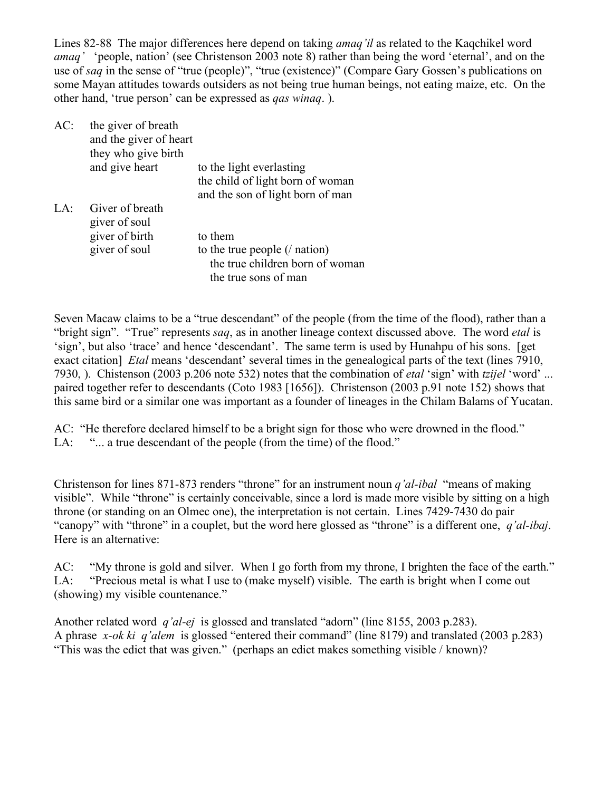Lines 82-88 The major differences here depend on taking *amaq'il* as related to the Kaqchikel word *amaq'* 'people, nation' (see Christenson 2003 note 8) rather than being the word 'eternal', and on the use of *saq* in the sense of "true (people)", "true (existence)" (Compare Gary Gossen's publications on some Mayan attitudes towards outsiders as not being true human beings, not eating maize, etc. On the other hand, 'true person' can be expressed as *qas winaq*. ).

| AC:   | the giver of breath<br>and the giver of heart<br>they who give birth |                                                              |
|-------|----------------------------------------------------------------------|--------------------------------------------------------------|
|       | and give heart                                                       | to the light everlasting<br>the child of light born of woman |
|       |                                                                      | and the son of light born of man                             |
| $L^A$ | Giver of breath<br>giver of soul                                     |                                                              |
|       | giver of birth                                                       | to them                                                      |
|       | giver of soul                                                        | to the true people $($ nation)                               |
|       |                                                                      | the true children born of woman                              |
|       |                                                                      | the true sons of man                                         |
|       |                                                                      |                                                              |

Seven Macaw claims to be a "true descendant" of the people (from the time of the flood), rather than a "bright sign". "True" represents *saq*, as in another lineage context discussed above. The word *etal* is 'sign', but also 'trace' and hence 'descendant'. The same term is used by Hunahpu of his sons. [get exact citation] *Etal* means 'descendant' several times in the genealogical parts of the text (lines 7910, 7930, ). Chistenson (2003 p.206 note 532) notes that the combination of *etal* 'sign' with *tzijel* 'word' ... paired together refer to descendants (Coto 1983 [1656]). Christenson (2003 p.91 note 152) shows that this same bird or a similar one was important as a founder of lineages in the Chilam Balams of Yucatan.

AC: "He therefore declared himself to be a bright sign for those who were drowned in the flood." LA: "... a true descendant of the people (from the time) of the flood."

Christenson for lines 871-873 renders "throne" for an instrument noun *q'al-ibal* "means of making visible". While "throne" is certainly conceivable, since a lord is made more visible by sitting on a high throne (or standing on an Olmec one), the interpretation is not certain. Lines 7429-7430 do pair "canopy" with "throne" in a couplet, but the word here glossed as "throne" is a different one, *q'al-ibaj*. Here is an alternative:

AC: "My throne is gold and silver. When I go forth from my throne, I brighten the face of the earth." LA: "Precious metal is what I use to (make myself) visible. The earth is bright when I come out (showing) my visible countenance."

Another related word *q'al-ej* is glossed and translated "adorn" (line 8155, 2003 p.283). A phrase *x-ok ki q'alem* is glossed "entered their command" (line 8179) and translated (2003 p.283) "This was the edict that was given." (perhaps an edict makes something visible / known)?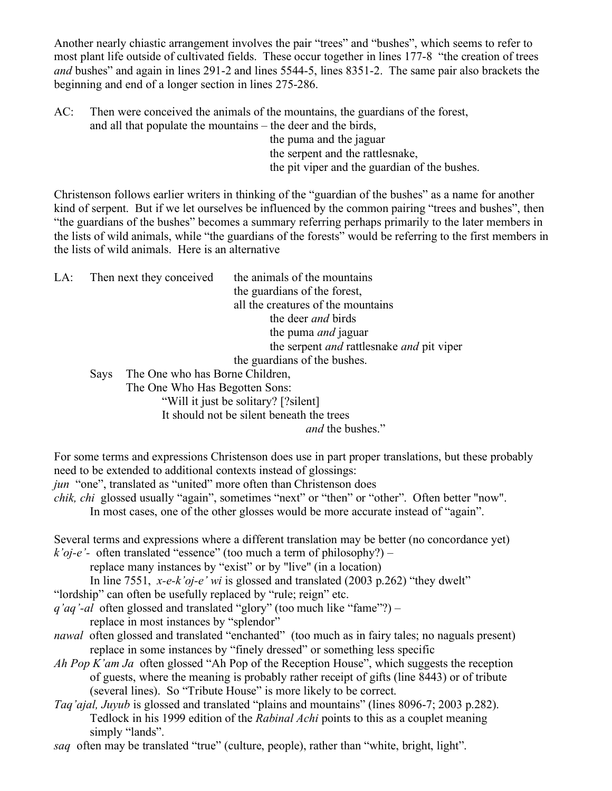Another nearly chiastic arrangement involves the pair "trees" and "bushes", which seems to refer to most plant life outside of cultivated fields. These occur together in lines 177-8 "the creation of trees *and* bushes" and again in lines 291-2 and lines 5544-5, lines 8351-2. The same pair also brackets the beginning and end of a longer section in lines 275-286.

AC: Then were conceived the animals of the mountains, the guardians of the forest, and all that populate the mountains – the deer and the birds,

the puma and the jaguar the serpent and the rattlesnake, the pit viper and the guardian of the bushes.

Christenson follows earlier writers in thinking of the "guardian of the bushes" as a name for another kind of serpent. But if we let ourselves be influenced by the common pairing "trees and bushes", then "the guardians of the bushes" becomes a summary referring perhaps primarily to the later members in the lists of wild animals, while "the guardians of the forests" would be referring to the first members in the lists of wild animals. Here is an alternative

LA: Then next they conceived the animals of the mountains the guardians of the forest, all the creatures of the mountains the deer *and* birds the puma *and* jaguar the serpent *and* rattlesnake *and* pit viper the guardians of the bushes. Says The One who has Borne Children, The One Who Has Begotten Sons: "Will it just be solitary? [?silent] It should not be silent beneath the trees *and* the bushes."

For some terms and expressions Christenson does use in part proper translations, but these probably need to be extended to additional contexts instead of glossings:

*jun* "one", translated as "united" more often than Christenson does

*chik, chi* glossed usually "again", sometimes "next" or "then" or "other". Often better "now".

In most cases, one of the other glosses would be more accurate instead of "again".

Several terms and expressions where a different translation may be better (no concordance yet) *k'oj-e'-* often translated "essence" (too much a term of philosophy?) –

replace many instances by "exist" or by "live" (in a location)

In line 7551, *x-e-k'oj-e' wi* is glossed and translated (2003 p.262) "they dwelt"

"lordship" can often be usefully replaced by "rule; reign" etc.

*q'aq'-al* often glossed and translated "glory" (too much like "fame"?) –

replace in most instances by "splendor"

- *nawal* often glossed and translated "enchanted" (too much as in fairy tales; no naguals present) replace in some instances by "finely dressed" or something less specific
- *Ah Pop K'am Ja* often glossed "Ah Pop of the Reception House", which suggests the reception of guests, where the meaning is probably rather receipt of gifts (line 8443) or of tribute (several lines). So "Tribute House" is more likely to be correct.

*Taq'ajal, Juyub* is glossed and translated "plains and mountains" (lines 8096-7; 2003 p.282). Tedlock in his 1999 edition of the *Rabinal Achi* points to this as a couplet meaning simply "lands".

*saq* often may be translated "true" (culture, people), rather than "white, bright, light".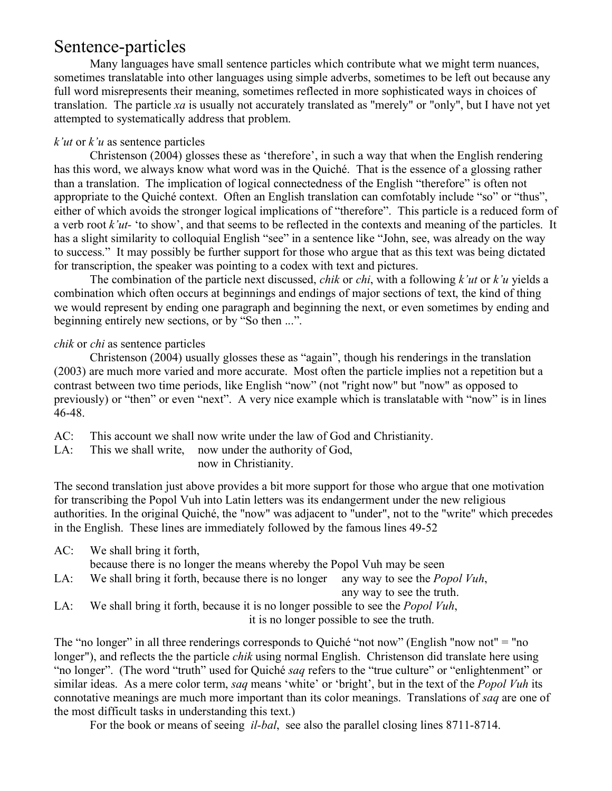### Sentence-particles

Many languages have small sentence particles which contribute what we might term nuances, sometimes translatable into other languages using simple adverbs, sometimes to be left out because any full word misrepresents their meaning, sometimes reflected in more sophisticated ways in choices of translation. The particle *xa* is usually not accurately translated as "merely" or "only", but I have not yet attempted to systematically address that problem.

#### *k'ut* or *k'u* as sentence particles

Christenson (2004) glosses these as 'therefore', in such a way that when the English rendering has this word, we always know what word was in the Quiché. That is the essence of a glossing rather than a translation. The implication of logical connectedness of the English "therefore" is often not appropriate to the Quiché context. Often an English translation can comfotably include "so" or "thus", either of which avoids the stronger logical implications of "therefore". This particle is a reduced form of a verb root *k'ut-* 'to show', and that seems to be reflected in the contexts and meaning of the particles. It has a slight similarity to colloquial English "see" in a sentence like "John, see, was already on the way to success." It may possibly be further support for those who argue that as this text was being dictated for transcription, the speaker was pointing to a codex with text and pictures.

The combination of the particle next discussed, *chik* or *chi*, with a following *k'ut* or *k'u* yields a combination which often occurs at beginnings and endings of major sections of text, the kind of thing we would represent by ending one paragraph and beginning the next, or even sometimes by ending and beginning entirely new sections, or by "So then ...".

### *chik* or *chi* as sentence particles

Christenson (2004) usually glosses these as "again", though his renderings in the translation (2003) are much more varied and more accurate. Most often the particle implies not a repetition but a contrast between two time periods, like English "now" (not "right now" but "now" as opposed to previously) or "then" or even "next". A very nice example which is translatable with "now" is in lines 46-48.

- AC: This account we shall now write under the law of God and Christianity.
- LA: This we shall write, now under the authority of God,

now in Christianity.

The second translation just above provides a bit more support for those who argue that one motivation for transcribing the Popol Vuh into Latin letters was its endangerment under the new religious authorities. In the original Quiché, the "now" was adjacent to "under", not to the "write" which precedes in the English. These lines are immediately followed by the famous lines 49-52

AC: We shall bring it forth, because there is no longer the means whereby the Popol Vuh may be seen LA: We shall bring it forth, because there is no longer any way to see the *Popol Vuh*, any way to see the truth.

LA: We shall bring it forth, because it is no longer possible to see the *Popol Vuh*, it is no longer possible to see the truth.

The "no longer" in all three renderings corresponds to Quiché "not now" (English "now not" = "no longer"), and reflects the the particle *chik* using normal English. Christenson did translate here using "no longer". (The word "truth" used for Quiché *saq* refers to the "true culture" or "enlightenment" or similar ideas. As a mere color term, *saq* means 'white' or 'bright', but in the text of the *Popol Vuh* its connotative meanings are much more important than its color meanings. Translations of *saq* are one of the most difficult tasks in understanding this text.)

For the book or means of seeing *il-bal*, see also the parallel closing lines 8711-8714.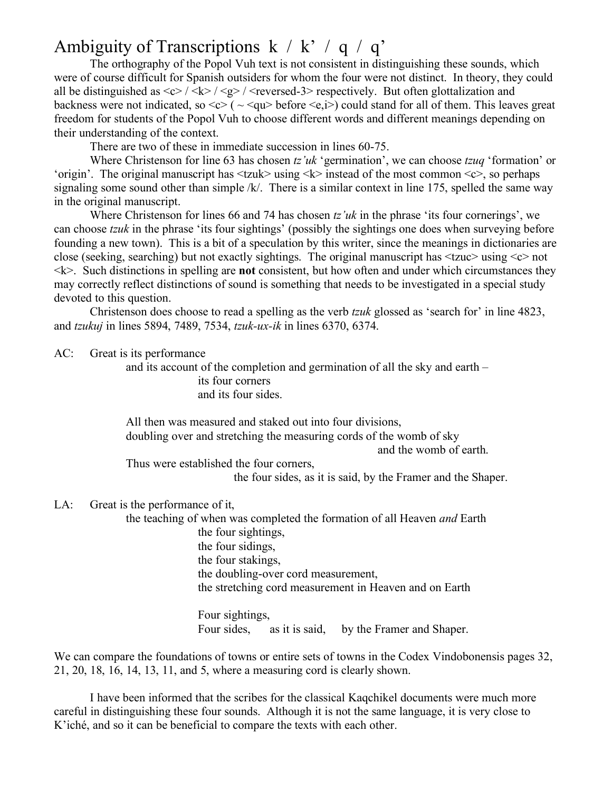# Ambiguity of Transcriptions  $k / k' / q / q'$

The orthography of the Popol Vuh text is not consistent in distinguishing these sounds, which were of course difficult for Spanish outsiders for whom the four were not distinct. In theory, they could all be distinguished as  $\langle c \rangle / \langle k \rangle / \langle g \rangle / \langle c \rangle$  respectively. But often glottalization and backness were not indicated, so  $\langle c \rangle$  ( $\sim$   $\langle qu \rangle$  before  $\langle e, i \rangle$ ) could stand for all of them. This leaves great freedom for students of the Popol Vuh to choose different words and different meanings depending on their understanding of the context.

There are two of these in immediate succession in lines 60-75.

Where Christenson for line 63 has chosen *tz'uk* 'germination', we can choose *tzuq* 'formation' or 'origin'. The original manuscript has  $\langle z \rangle$  using  $\langle k \rangle$  instead of the most common  $\langle c \rangle$ , so perhaps signaling some sound other than simple /k/. There is a similar context in line 175, spelled the same way in the original manuscript.

Where Christenson for lines 66 and 74 has chosen *tz'uk* in the phrase 'its four cornerings', we can choose *tzuk* in the phrase 'its four sightings' (possibly the sightings one does when surveying before founding a new town). This is a bit of a speculation by this writer, since the meanings in dictionaries are close (seeking, searching) but not exactly sightings. The original manuscript has <tzuc> using <c> not  $\leq k$ . Such distinctions in spelling are **not** consistent, but how often and under which circumstances they may correctly reflect distinctions of sound is something that needs to be investigated in a special study devoted to this question.

Christenson does choose to read a spelling as the verb *tzuk* glossed as 'search for' in line 4823, and *tzukuj* in lines 5894, 7489, 7534, *tzuk-ux-ik* in lines 6370, 6374.

#### AC: Great is its performance

and its account of the completion and germination of all the sky and earth – its four corners and its four sides.

All then was measured and staked out into four divisions, doubling over and stretching the measuring cords of the womb of sky and the womb of earth.

Thus were established the four corners,

the four sides, as it is said, by the Framer and the Shaper.

#### LA: Great is the performance of it,

the teaching of when was completed the formation of all Heaven *and* Earth the four sightings, the four sidings, the four stakings, the doubling-over cord measurement, the stretching cord measurement in Heaven and on Earth

> Four sightings, Four sides, as it is said, by the Framer and Shaper.

We can compare the foundations of towns or entire sets of towns in the Codex Vindobonensis pages 32, 21, 20, 18, 16, 14, 13, 11, and 5, where a measuring cord is clearly shown.

I have been informed that the scribes for the classical Kaqchikel documents were much more careful in distinguishing these four sounds. Although it is not the same language, it is very close to K'iché, and so it can be beneficial to compare the texts with each other.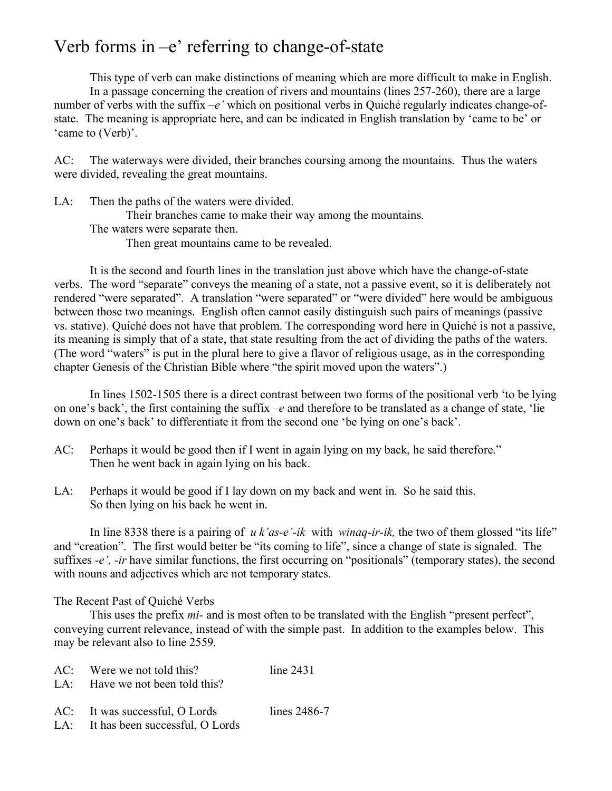# Verb forms in  $-e'$  referring to change-of-state

This type of verb can make distinctions of meaning which are more difficult to make in English. In a passage concerning the creation of rivers and mountains (lines 257-260), there are a large number of verbs with the suffix *–e'* which on positional verbs in Quiché regularly indicates change-ofstate. The meaning is appropriate here, and can be indicated in English translation by 'came to be' or 'came to (Verb)'.

AC: The waterways were divided, their branches coursing among the mountains. Thus the waters were divided, revealing the great mountains.

LA: Then the paths of the waters were divided.

Their branches came to make their way among the mountains.

The waters were separate then.

Then great mountains came to be revealed.

It is the second and fourth lines in the translation just above which have the change-of-state verbs. The word "separate" conveys the meaning of a state, not a passive event, so it is deliberately not rendered "were separated". A translation "were separated" or "were divided" here would be ambiguous between those two meanings. English often cannot easily distinguish such pairs of meanings (passive vs. stative). Quiché does not have that problem. The corresponding word here in Quiché is not a passive, its meaning is simply that of a state, that state resulting from the act of dividing the paths of the waters. (The word "waters" is put in the plural here to give a flavor of religious usage, as in the corresponding chapter Genesis of the Christian Bible where "the spirit moved upon the waters".)

In lines 1502-1505 there is a direct contrast between two forms of the positional verb 'to be lying on one's back', the first containing the suffix *–e* and therefore to be translated as a change of state, 'lie down on one's back' to differentiate it from the second one 'be lying on one's back'.

- AC: Perhaps it would be good then if I went in again lying on my back, he said therefore." Then he went back in again lying on his back.
- LA: Perhaps it would be good if I lay down on my back and went in. So he said this. So then lying on his back he went in.

In line 8338 there is a pairing of *u k'as-e'-ik* with *winaq-ir-ik,* the two of them glossed "its life" and "creation". The first would better be "its coming to life", since a change of state is signaled. The suffixes *-e'*, *-ir* have similar functions, the first occurring on "positionals" (temporary states), the second with nouns and adjectives which are not temporary states.

#### The Recent Past of Quiché Verbs

This uses the prefix *mi-* and is most often to be translated with the English "present perfect", conveying current relevance, instead of with the simple past. In addition to the examples below. This may be relevant also to line 2559.

| $AC:$ Were we not told this?    | line 2431    |
|---------------------------------|--------------|
| LA: Have we not been told this? |              |
| AC: It was successful, O Lords  | lines 2486-7 |

LA: It has been successful, O Lords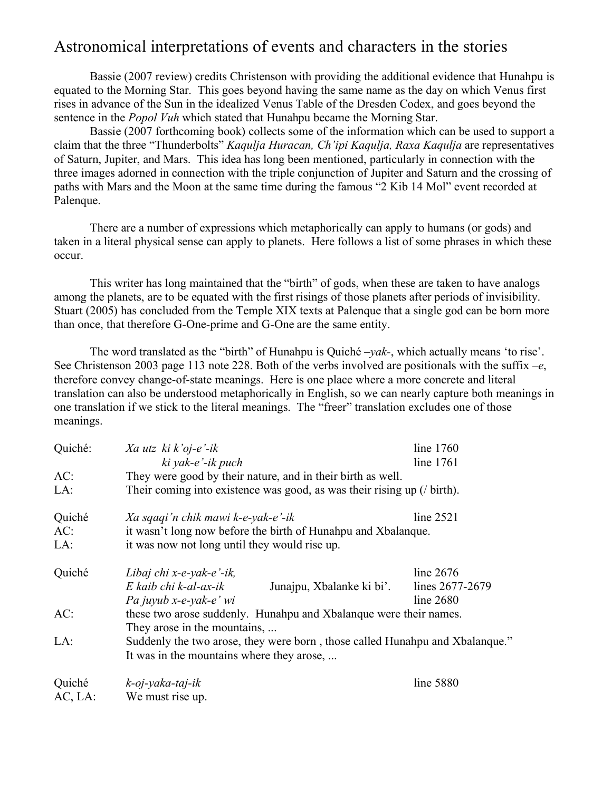### Astronomical interpretations of events and characters in the stories

Bassie (2007 review) credits Christenson with providing the additional evidence that Hunahpu is equated to the Morning Star. This goes beyond having the same name as the day on which Venus first rises in advance of the Sun in the idealized Venus Table of the Dresden Codex, and goes beyond the sentence in the *Popol Vuh* which stated that Hunahpu became the Morning Star.

Bassie (2007 forthcoming book) collects some of the information which can be used to support a claim that the three "Thunderbolts" *Kaqulja Huracan, Ch'ipi Kaqulja, Raxa Kaqulja* are representatives of Saturn, Jupiter, and Mars. This idea has long been mentioned, particularly in connection with the three images adorned in connection with the triple conjunction of Jupiter and Saturn and the crossing of paths with Mars and the Moon at the same time during the famous "2 Kib 14 Mol" event recorded at Palenque.

There are a number of expressions which metaphorically can apply to humans (or gods) and taken in a literal physical sense can apply to planets. Here follows a list of some phrases in which these occur.

This writer has long maintained that the "birth" of gods, when these are taken to have analogs among the planets, are to be equated with the first risings of those planets after periods of invisibility. Stuart (2005) has concluded from the Temple XIX texts at Palenque that a single god can be born more than once, that therefore G-One-prime and G-One are the same entity.

The word translated as the "birth" of Hunahpu is Quiché *–yak-*, which actually means 'to rise'. See Christenson 2003 page 113 note 228. Both of the verbs involved are positionals with the suffix *–e*, therefore convey change-of-state meanings. Here is one place where a more concrete and literal translation can also be understood metaphorically in English, so we can nearly capture both meanings in one translation if we stick to the literal meanings. The "freer" translation excludes one of those meanings.

| Quiché: | $Xa$ utz $ki$ $k$ 'oj-e'-ik                                                  |  | line $1760$     |
|---------|------------------------------------------------------------------------------|--|-----------------|
|         | ki yak-e'-ik puch                                                            |  | line 1761       |
| AC:     | They were good by their nature, and in their birth as well.                  |  |                 |
| LA:     | Their coming into existence was good, as was their rising up $($ / birth).   |  |                 |
| Quiché  | Xa sqaqi'n chik mawi k-e-yak-e'-ik                                           |  | line 2521       |
| AC:     | it wasn't long now before the birth of Hunahpu and Xbalanque.                |  |                 |
| LA:     | it was now not long until they would rise up.                                |  |                 |
| Quiché  | Libaj chi x-e-yak-e'-ik,                                                     |  | line $2676$     |
|         | E kaib chi k-al-ax-ik<br>Junajpu, Xbalanke ki bi'.                           |  | lines 2677-2679 |
|         | Pa juyub x-e-yak-e' wi                                                       |  | line $2680$     |
| AC:     | these two arose suddenly. Hunahpu and Xbalanque were their names.            |  |                 |
|         | They arose in the mountains,                                                 |  |                 |
| LA:     | Suddenly the two arose, they were born, those called Hunahpu and Xbalanque." |  |                 |
|         | It was in the mountains where they arose,                                    |  |                 |
| Quiché  | $k$ -oj-yaka-taj-ik                                                          |  | line 5880       |

AC, LA: We must rise up.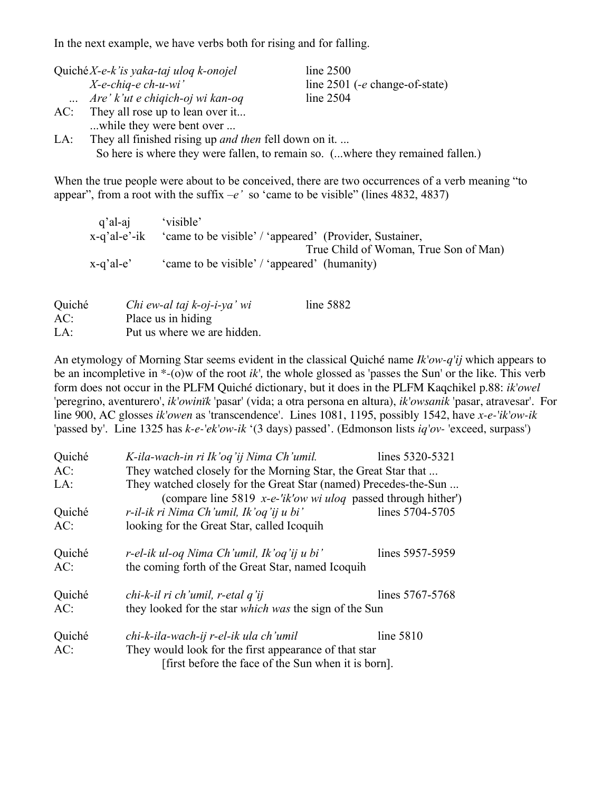In the next example, we have verbs both for rising and for falling.

|     | Quiché $X$ -e-k'is yaka-taj ulog k-onojel | line 2500                        |
|-----|-------------------------------------------|----------------------------------|
|     | $X$ -e-chiq-e ch-u-wi'                    | line $2501$ (-e change-of-state) |
|     | Are' k'ut e chiqich-oj wi kan-oq          | line 2504                        |
| AC: | They all rose up to lean over it          |                                  |
|     | while they were bent over                 |                                  |

LA: They all finished rising up *and then* fell down on it. ... So here is where they were fallen, to remain so. (...where they remained fallen.)

When the true people were about to be conceived, there are two occurrences of a verb meaning "to appear", from a root with the suffix  $-e'$  so 'came to be visible" (lines 4832, 4837)

| q'al-aj         | 'visible'                                               |
|-----------------|---------------------------------------------------------|
| $x$ -q'al-e'-ik | 'came to be visible' / 'appeared' (Provider, Sustainer, |
|                 | True Child of Woman, True Son of Man)                   |
| $x-q'$ al-e'    | 'came to be visible' / 'appeared' (humanity)            |

| Quiché | Chi ew-al taj k-oj-i-ya' wi | line $5882$ |
|--------|-----------------------------|-------------|
| AC:    | Place us in hiding          |             |
| LA:    | Put us where we are hidden. |             |

An etymology of Morning Star seems evident in the classical Quiché name *Ik'ow-q'ij* which appears to be an incompletive in \*-(o)w of the root *ik',* the whole glossed as 'passes the Sun' or the like. This verb form does not occur in the PLFM Quiché dictionary, but it does in the PLFM Kaqchikel p.88: *ik'owel* 'peregrino, aventurero', *ik'owinïk* 'pasar' (vida; a otra persona en altura), *ik'owsanik* 'pasar, atravesar'. For line 900, AC glosses *ik'owen* as 'transcendence'. Lines 1081, 1195, possibly 1542, have *x-e-'ik'ow-ik* 'passed by'. Line 1325 has *k-e-'ek'ow-ik* '(3 days) passed'. (Edmonson lists *iq'ov-* 'exceed, surpass')

| Quiché | K-ila-wach-in ri Ik'og'ij Nima Ch'umil.                                    | lines 5320-5321 |  |
|--------|----------------------------------------------------------------------------|-----------------|--|
| AC:    | They watched closely for the Morning Star, the Great Star that             |                 |  |
| LA:    | They watched closely for the Great Star (named) Precedes-the-Sun           |                 |  |
|        | (compare line 5819 $x-e^{-t}$ <i>ik'ow wi uloq</i> passed through hither') |                 |  |
| Quiché | r-il-ik ri Nima Ch'umil, Ik'oq'ij u bi'                                    | lines 5704-5705 |  |
| AC:    | looking for the Great Star, called Icoquih                                 |                 |  |
|        |                                                                            |                 |  |
| Quiché | r-el-ik ul-oq Nima Ch'umil, Ik'oq'ij u bi'                                 | lines 5957-5959 |  |
| AC:    | the coming forth of the Great Star, named Icoquih                          |                 |  |
| Quiché | chi-k-il ri ch'umil, r-etal q'ij                                           | lines 5767-5768 |  |
| AC:    | they looked for the star <i>which</i> was the sign of the Sun              |                 |  |
|        |                                                                            |                 |  |
| Quiché | chi-k-ila-wach-ij r-el-ik ula ch'umil                                      | line 5810       |  |
| AC:    | They would look for the first appearance of that star                      |                 |  |
|        | first before the face of the Sun when it is born].                         |                 |  |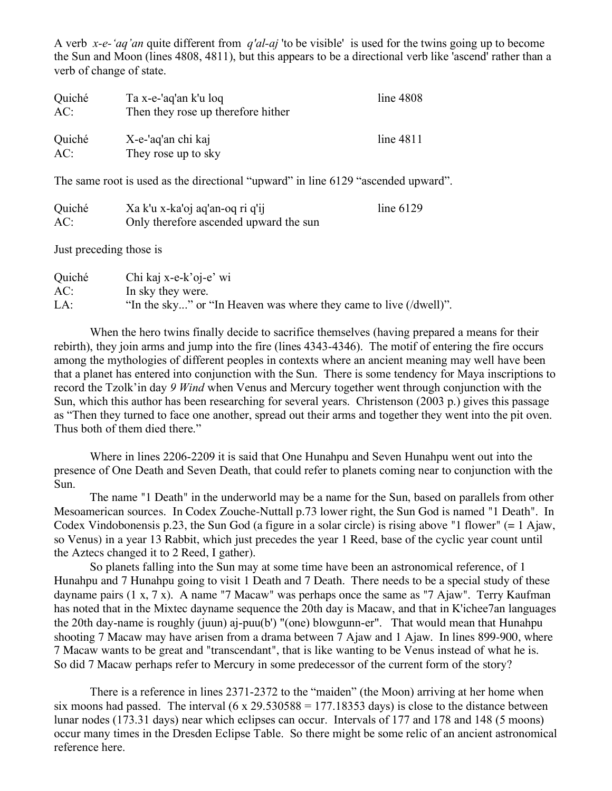A verb *x-e-'aq'an* quite different from *q'al-aj* 'to be visible' is used for the twins going up to become the Sun and Moon (lines 4808, 4811), but this appears to be a directional verb like 'ascend' rather than a verb of change of state.

| Quiché<br>AC: | Ta x-e-'aq'an k'u loq<br>Then they rose up therefore hither | line 4808 |
|---------------|-------------------------------------------------------------|-----------|
| Quiché<br>AC: | X-e-'aq'an chi kaj<br>They rose up to sky                   | line 4811 |

The same root is used as the directional "upward" in line 6129 "ascended upward".

| Quiché | Xa k'u x-ka'oj aq'an-oq ri q'ij        | line $6129$ |
|--------|----------------------------------------|-------------|
| AC:    | Only therefore ascended upward the sun |             |

Just preceding those is

| Quiché | Chi kaj x-e-k'oj-e' wi                                            |
|--------|-------------------------------------------------------------------|
| AC:    | In sky they were.                                                 |
| LA:    | "In the sky" or "In Heaven was where they came to live (/dwell)". |

When the hero twins finally decide to sacrifice themselves (having prepared a means for their rebirth), they join arms and jump into the fire (lines 4343-4346). The motif of entering the fire occurs among the mythologies of different peoples in contexts where an ancient meaning may well have been that a planet has entered into conjunction with the Sun. There is some tendency for Maya inscriptions to record the Tzolk'in day *9 Wind* when Venus and Mercury together went through conjunction with the Sun, which this author has been researching for several years. Christenson (2003 p.) gives this passage as "Then they turned to face one another, spread out their arms and together they went into the pit oven. Thus both of them died there."

Where in lines 2206-2209 it is said that One Hunahpu and Seven Hunahpu went out into the presence of One Death and Seven Death, that could refer to planets coming near to conjunction with the Sun.

The name "1 Death" in the underworld may be a name for the Sun, based on parallels from other Mesoamerican sources. In Codex Zouche-Nuttall p.73 lower right, the Sun God is named "1 Death". In Codex Vindobonensis p.23, the Sun God (a figure in a solar circle) is rising above "1 flower" (= 1 Ajaw, so Venus) in a year 13 Rabbit, which just precedes the year 1 Reed, base of the cyclic year count until the Aztecs changed it to 2 Reed, I gather).

So planets falling into the Sun may at some time have been an astronomical reference, of 1 Hunahpu and 7 Hunahpu going to visit 1 Death and 7 Death. There needs to be a special study of these dayname pairs (1 x, 7 x). A name "7 Macaw" was perhaps once the same as "7 Ajaw". Terry Kaufman has noted that in the Mixtec dayname sequence the 20th day is Macaw, and that in K'ichee7an languages the 20th day-name is roughly (juun) aj-puu(b') "(one) blowgunn-er". That would mean that Hunahpu shooting 7 Macaw may have arisen from a drama between 7 Ajaw and 1 Ajaw. In lines 899-900, where 7 Macaw wants to be great and "transcendant", that is like wanting to be Venus instead of what he is. So did 7 Macaw perhaps refer to Mercury in some predecessor of the current form of the story?

There is a reference in lines 2371-2372 to the "maiden" (the Moon) arriving at her home when six moons had passed. The interval  $(6 \times 29.530588 = 177.18353$  days) is close to the distance between lunar nodes (173.31 days) near which eclipses can occur. Intervals of 177 and 178 and 148 (5 moons) occur many times in the Dresden Eclipse Table. So there might be some relic of an ancient astronomical reference here.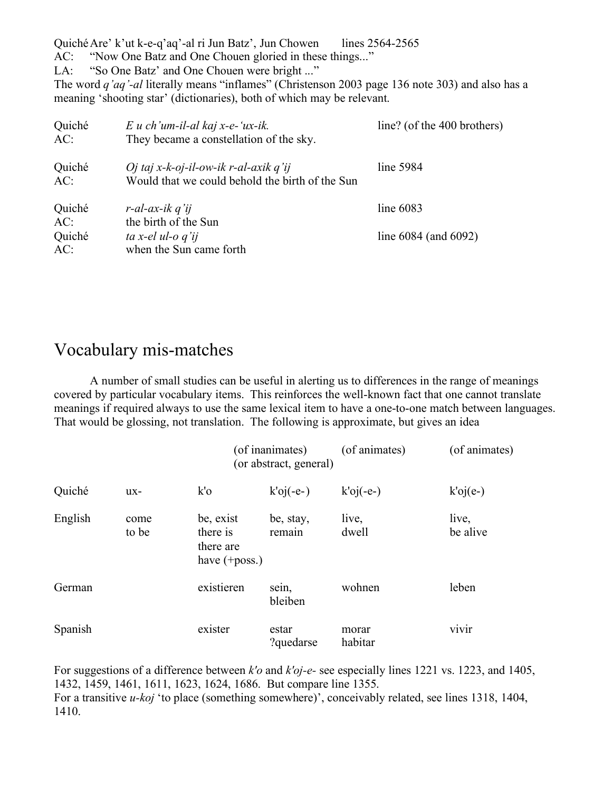QuichéAre' k'ut k-e-q'aq'-al ri Jun Batz', Jun Chowen lines 2564-2565 AC: "Now One Batz and One Chouen gloried in these things..." LA: "So One Batz' and One Chouen were bright ..." The word *q'aq'-al* literally means "inflames" (Christenson 2003 page 136 note 303) and also has a meaning 'shooting star' (dictionaries), both of which may be relevant.

| Quiché<br>AC: | $E$ u ch'um-il-al kaj x-e-'ux-ik.<br>They became a constellation of the sky.             | line? (of the 400 brothers) |
|---------------|------------------------------------------------------------------------------------------|-----------------------------|
| Quiché<br>AC: | Oj taj x-k-oj-il-ow-ik r-al-axik q'ij<br>Would that we could behold the birth of the Sun | line 5984                   |
| Quiché<br>AC: | $r$ -al-ax-ik q'ij<br>the birth of the Sun                                               | line $6083$                 |
| Quiché<br>AC: | ta x-el ul-o q'ij<br>when the Sun came forth                                             | line $6084$ (and $6092$ )   |

### Vocabulary mis-matches

A number of small studies can be useful in alerting us to differences in the range of meanings covered by particular vocabulary items. This reinforces the well-known fact that one cannot translate meanings if required always to use the same lexical item to have a one-to-one match between languages. That would be glossing, not translation. The following is approximate, but gives an idea

|         |               |                                                        | (of inanimates)<br>(or abstract, general) | (of animates)    | (of animates)     |
|---------|---------------|--------------------------------------------------------|-------------------------------------------|------------------|-------------------|
| Quiché  | $ux -$        | $k'$ o                                                 | $k'oj(-e-)$                               | $k'$ oj(-e-)     | $k'$ oj $(e-)$    |
| English | come<br>to be | be, exist<br>there is<br>there are<br>have $(+$ poss.) | be, stay,<br>remain                       | live,<br>dwell   | live,<br>be alive |
| German  |               | existieren                                             | sein,<br>bleiben                          | wohnen           | leben             |
| Spanish |               | exister                                                | estar<br>?quedarse                        | morar<br>habitar | vivir             |

For suggestions of a difference between *k'o* and *k'oj-e-* see especially lines 1221 vs. 1223, and 1405, 1432, 1459, 1461, 1611, 1623, 1624, 1686. But compare line 1355. For a transitive *u-koj* 'to place (something somewhere)', conceivably related, see lines 1318, 1404, 1410.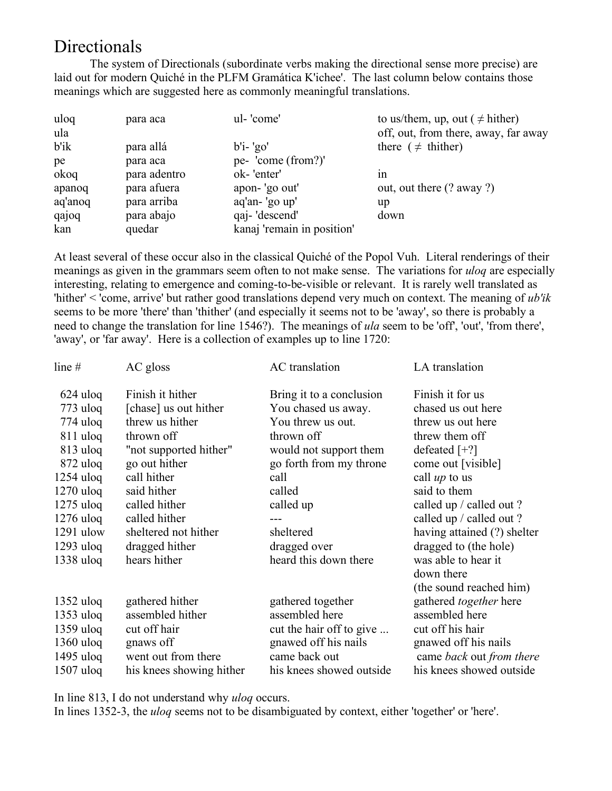### Directionals

The system of Directionals (subordinate verbs making the directional sense more precise) are laid out for modern Quiché in the PLFM Gramática K'ichee'. The last column below contains those meanings which are suggested here as commonly meaningful translations.

| uloq    | para aca     | ul-'come'                  | to us/them, up, out ( $\neq$ hither) |
|---------|--------------|----------------------------|--------------------------------------|
| ula     |              |                            | off, out, from there, away, far away |
| b'ik    | para allá    | $b'i$ - 'go'               | there ( $\neq$ thither)              |
| pe      | para aca     | pe- 'come (from?)'         |                                      |
| okoq    | para adentro | ok-'enter'                 | 1n                                   |
| apanoq  | para afuera  | apon-'go out'              | out, out there (? away ?)            |
| aq'anoq | para arriba  | aq'an- 'go up'             | up                                   |
| qajoq   | para abajo   | qaj-'descend'              | down                                 |
| kan     | quedar       | kanaj 'remain in position' |                                      |

At least several of these occur also in the classical Quiché of the Popol Vuh. Literal renderings of their meanings as given in the grammars seem often to not make sense. The variations for *uloq* are especially interesting, relating to emergence and coming-to-be-visible or relevant. It is rarely well translated as 'hither' < 'come, arrive' but rather good translations depend very much on context. The meaning of *ub'ik* seems to be more 'there' than 'thither' (and especially it seems not to be 'away', so there is probably a need to change the translation for line 1546?). The meanings of *ula* seem to be 'off', 'out', 'from there', 'away', or 'far away'. Here is a collection of examples up to line 1720:

| line $#$    | AC gloss                 | AC translation            | LA translation                |
|-------------|--------------------------|---------------------------|-------------------------------|
| $624$ uloq  | Finish it hither         | Bring it to a conclusion  | Finish it for us              |
| $773$ uloq  | [chase] us out hither    | You chased us away.       | chased us out here            |
| $774$ uloq  | threw us hither          | You threw us out.         | threw us out here             |
| $811$ uloq  | thrown off               | thrown off                | threw them off                |
| $813$ uloq  | "not supported hither"   | would not support them    | defeated $[+?]$               |
| $872$ uloq  | go out hither            | go forth from my throne   | come out [visible]            |
| $1254$ uloq | call hither              | call                      | call $up$ to us               |
| $1270$ uloq | said hither              | called                    | said to them                  |
| $1275$ uloq | called hither            | called up                 | called up / called out ?      |
| $1276$ uloq | called hither            |                           | called up / called out ?      |
| $1291$ ulow | sheltered not hither     | sheltered                 | having attained (?) shelter   |
| $1293$ uloq | dragged hither           | dragged over              | dragged to (the hole)         |
| $1338$ uloq | hears hither             | heard this down there     | was able to hear it           |
|             |                          |                           | down there                    |
|             |                          |                           | (the sound reached him)       |
| $1352$ uloq | gathered hither          | gathered together         | gathered <i>together</i> here |
| $1353$ uloq | assembled hither         | assembled here            | assembled here                |
| $1359$ uloq | cut off hair             | cut the hair off to give  | cut off his hair              |
| $1360$ uloq | gnaws off                | gnawed off his nails      | gnawed off his nails          |
| $1495$ uloq | went out from there      | came back out             | came back out from there      |
| $1507$ uloq | his knees showing hither | his knees showed outside. | his knees showed outside      |

In line 813, I do not understand why *uloq* occurs.

In lines 1352-3, the *uloq* seems not to be disambiguated by context, either 'together' or 'here'.